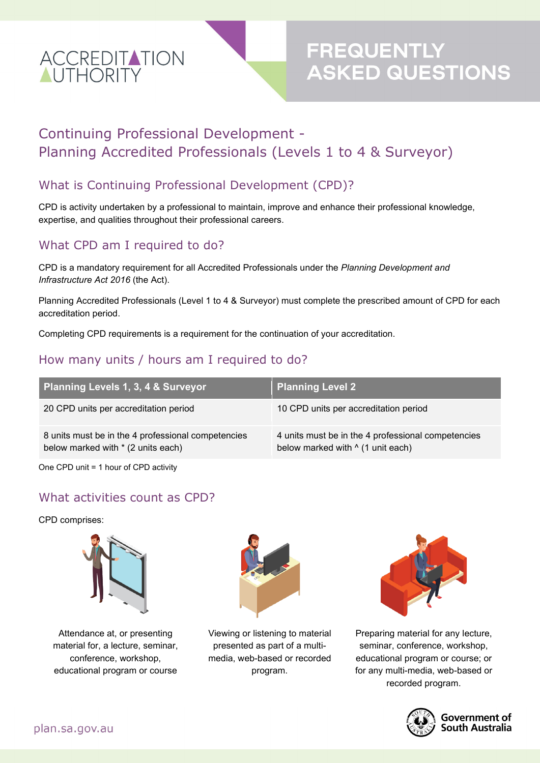

# **FREQUENTLY<br>ASKED QUESTIONS**

## Continuing Professional Development - Planning Accredited Professionals (Levels 1 to 4 & Surveyor)

#### What is Continuing Professional Development (CPD)?

CPD is activity undertaken by a professional to maintain, improve and enhance their professional knowledge, expertise, and qualities throughout their professional careers.

#### What CPD am I required to do?

CPD is a mandatory requirement for all Accredited Professionals under the *Planning Development and Infrastructure Act 2016* (the Act).

Planning Accredited Professionals (Level 1 to 4 & Surveyor) must complete the prescribed amount of CPD for each accreditation period.

Completing CPD requirements is a requirement for the continuation of your accreditation.

#### How many units / hours am I required to do?

| <b>Planning Levels 1, 3, 4 &amp; Surveyor</b>                                            | <b>Planning Level 2</b>                                                                        |
|------------------------------------------------------------------------------------------|------------------------------------------------------------------------------------------------|
| 20 CPD units per accreditation period                                                    | 10 CPD units per accreditation period                                                          |
| 8 units must be in the 4 professional competencies<br>below marked with * (2 units each) | 4 units must be in the 4 professional competencies<br>below marked with $\wedge$ (1 unit each) |

One CPD unit = 1 hour of CPD activity

#### What activities count as CPD?

CPD comprises:



Attendance at, or presenting material for, a lecture, seminar, conference, workshop, educational program or course



Viewing or listening to material presented as part of a multimedia, web-based or recorded program.



Preparing material for any lecture, seminar, conference, workshop, educational program or course; or for any multi-media, web-based or recorded program.